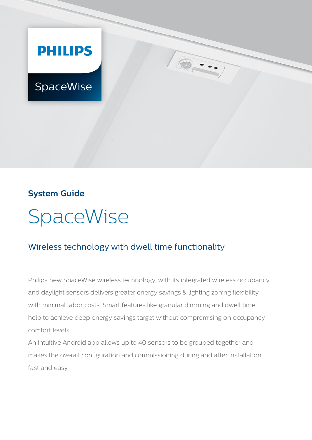

## **System Guide**



# Wireless technology with dwell time functionality

Philips new SpaceWise wireless technology, with its integrated wireless occupancy and daylight sensors delivers greater energy savings & lighting zoning flexibility with minimal labor costs. Smart features like granular dimming and dwell time help to achieve deep energy savings target without compromising on occupancy comfort levels.

An intuitive Android app allows up to 40 sensors to be grouped together and makes the overall configuration and commissioning during and after installation fast and easy.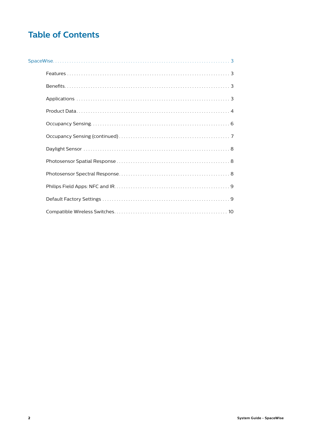# **Table of Contents**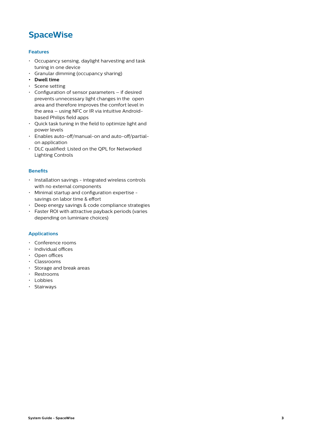## <span id="page-2-0"></span>**SpaceWise**

## **Features**

- Occupancy sensing, daylight harvesting and task tuning in one device
- Granular dimming (occupancy sharing)
- **• Dwell time**
- Scene setting
- Configuration of sensor parameters if desired prevents unnecessary light changes in the open area and therefore improves the comfort level in the area – using NFC or IR via intuitive Androidbased Philips field apps
- Quick task tuning in the field to optimize light and power levels
- Enables auto-off/manual-on and auto-off/partialon application
- DLC qualified: Listed on the QPL for Networked Lighting Controls

## **Benefits**

- Installation savings integrated wireless controls with no external components
- Minimal startup and configuration expertise savings on labor time & effort
- Deep energy savings & code compliance strategies
- Faster ROI with attractive payback periods (varies depending on luminiare choices)

## **Applications**

- Conference rooms
- Individual offices
- Open offices
- Classrooms
- Storage and break areas
- Restrooms
- Lobbies
- Stairways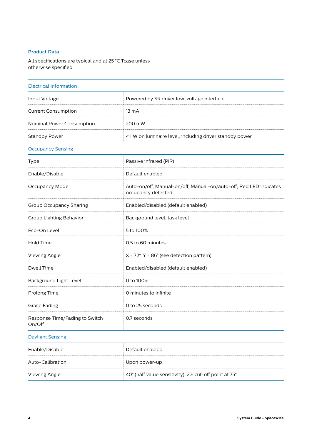### <span id="page-3-0"></span>**Product Data**

All specifications are typical and at 25 °C Tcase unless otherwise specified.

## Electrical Information Input Voltage **Powered by SR driver low-voltage interface** Current Consumption 13 mA Nominal Power Consumption 200 mW Standby Power **Example 2** and the standby power  $\leq 1$  W on luminaire level, including driver standby power Occupancy Sensing Type **Passive infrared (PIR)** Enable/Disable Default enabled  $\cdots$ Occupancy Mode Auto-on/off, Manual-on/off, Manual-on/auto-off; Red LED indicates occupancy detected

|                                          | occupancy detected                                       |  |  |
|------------------------------------------|----------------------------------------------------------|--|--|
| Group Occupancy Sharing                  | Enabled/disabled (default enabled)                       |  |  |
| Group Lighting Behavior                  | Background level, task level                             |  |  |
| Eco-On Level                             | 5 to 100%                                                |  |  |
| Hold Time                                | 0.5 to 60 minutes                                        |  |  |
| <b>Viewing Angle</b>                     | $X = 72^\circ$ , Y = 86 $^\circ$ (see detection pattern) |  |  |
| Dwell Time                               | Enabled/disabled (default enabled)                       |  |  |
| Background Light Level                   | 0 to 100%                                                |  |  |
| Prolong Time                             | O minutes to infinite                                    |  |  |
| <b>Grace Fading</b>                      | 0 to 25 seconds                                          |  |  |
| Response Time/Fading to Switch<br>On/Off | 0.7 seconds                                              |  |  |

#### Daylight Sensing

| Enable/Disable   | Default enabled                                       |
|------------------|-------------------------------------------------------|
| Auto-Calibration | Upon power-up                                         |
| Viewing Angle    | 40° (half value sensitivity); 2% cut-off point at 75° |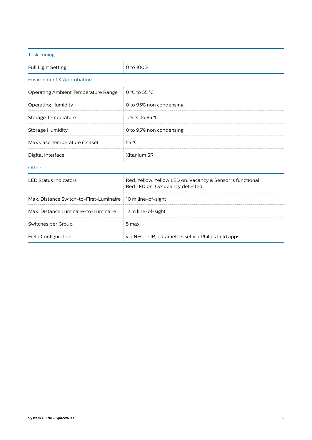| <b>Task Tuning</b>                      |                                                                                               |  |  |
|-----------------------------------------|-----------------------------------------------------------------------------------------------|--|--|
| <b>Full Light Setting</b>               | 0 to 100%                                                                                     |  |  |
| <b>Environment &amp; Approbation</b>    |                                                                                               |  |  |
| Operating Ambient Temperature Range     | $0 °C$ to 55 $°C$                                                                             |  |  |
| <b>Operating Humidity</b>               | 0 to 95% non condensing                                                                       |  |  |
| Storage Temperature                     | $-25$ °C to 85 °C                                                                             |  |  |
| Storage Humidity                        | 0 to 95% non condensing                                                                       |  |  |
| Max Case Temperature (Tcase)            | 55 $^{\circ}$ C                                                                               |  |  |
| Digital Interface                       | Xitanium SR                                                                                   |  |  |
| Other                                   |                                                                                               |  |  |
| <b>LED Status Indicators</b>            | Red, Yellow. Yellow LED on: Vacancy & Sensor is functional;<br>Red LED on: Occupancy detected |  |  |
| Max. Distance Switch-to-First-Luminaire | 10 m line-of-sight                                                                            |  |  |
| Max. Distance Luminaire-to-Luminaire    | 12 m line-of-sight                                                                            |  |  |
| Switches per Group                      | 5 max.                                                                                        |  |  |
| <b>Field Configuration</b>              | via NFC or IR, parameters set via Philips field apps                                          |  |  |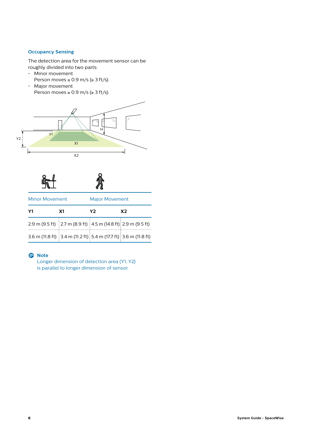## <span id="page-5-0"></span>**Occupancy Sensing**

The detection area for the movement sensor can be roughly divided into two parts:

- Minor movement Person moves  $\leq$  0.9 m/s ( $\leq$  3 ft/s).
- Major movement Person moves  $\geq 0.9$  m/s ( $\geq 3$  ft/s).





| <b>Minor Movement</b>                                           |    | <b>Major Movement</b> |                |  |
|-----------------------------------------------------------------|----|-----------------------|----------------|--|
| Υ1                                                              | Χ1 | Υ2                    | X <sub>2</sub> |  |
| 2.9 m (9.5 ft) 2.7 m (8.9 ft) 4.5 m (14.8 ft) 2.9 m (9.5 ft)    |    |                       |                |  |
| 3.6 m (11.8 ft) 3.4 m (11.2 ft) 5.4 m (17.7 ft) 3.6 m (11.8 ft) |    |                       |                |  |

## D **Note**

Longer dimension of detection area (Y1, Y2) is parallel to longer dimension of sensor.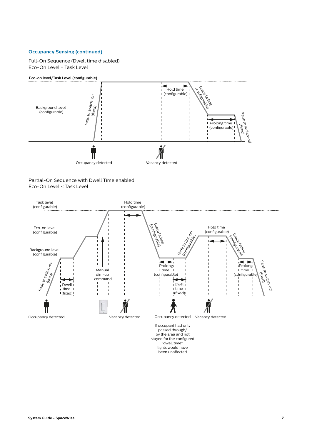## <span id="page-6-0"></span>**Occupancy Sensing (continued)**

Full-On Sequence (Dwell time disabled) Eco-On Level = Task Level



Partial-On Sequence with Dwell Time enabled Eco-On Level < Task Level



stayed for the configured "dwell time", lights would have been unaffected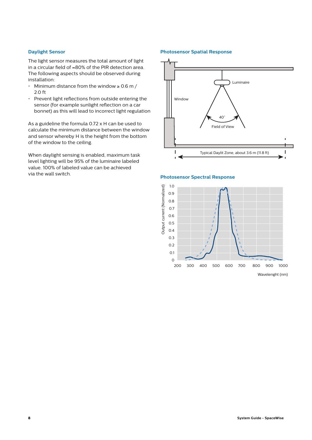#### <span id="page-7-0"></span>**Daylight Sensor**

The light sensor measures the total amount of light in a circular field of ≈80% of the PIR detection area. The following aspects should be observed during installation:

- Minimum distance from the window  $\geq 0.6$  m / 2.0 ft
- Prevent light reflections from outside entering the sensor (for example sunlight reflection on a car bonnet) as this will lead to incorrect light regulation

As a guideline the formula 0.72 x H can be used to calculate the minimum distance between the window and sensor whereby H is the height from the bottom of the window to the ceiling.

When daylight sensing is enabled, maximum task level lighting will be 95% of the luminaire labeled value. 100% of labeled value can be achieved via the wall switch.

#### **Photosensor Spatial Response**





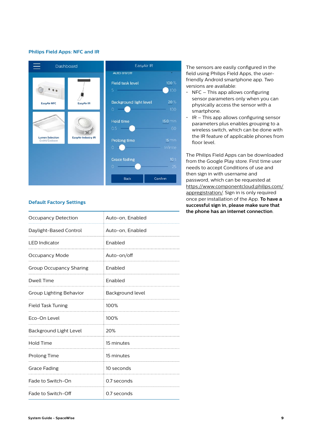#### <span id="page-8-0"></span>**Philips Field Apps: NFC and IR**



#### **Default Factory Settings**

| <b>Occupancy Detection</b> | Auto-on, Enabled |
|----------------------------|------------------|
| Daylight-Based Control     | Auto-on, Enabled |
| <b>LED Indicator</b>       | Enabled          |
| Occupancy Mode             | Auto-on/off      |
| Group Occupancy Sharing    | Enabled          |
| <b>Dwell Time</b>          | Enabled          |
| Group Lighting Behavior    | Background level |
| Field Task Tuning          | 100%             |
| Eco-On Level               | 100%             |
| Background Light Level     | 20%              |
| Hold Time                  | 15 minutes       |
| Prolong Time               | 15 minutes       |
| <b>Grace Fading</b>        | 10 seconds       |
| Fade to Switch-On          | 0.7 seconds      |
| Fade to Switch-Off         | 0.7 seconds      |

The sensors are easily configured in the field using Philips Field Apps, the userfriendly Android smartphone app. Two versions are available:

- $\cdot$  NFC This app allows configuring sensor parameters only when you can physically access the sensor with a smartphone.
- $\cdot$  IR This app allows configuring sensor parameters plus enables grouping to a wireless switch, which can be done with the IR feature of applicable phones from floor level.

The Philips Field Apps can be downloaded from the Google Play store. First time user needs to accept Conditions of use and then sign in with username and password, which can be requested at [https://www.componentcloud.philips.com/](https://www.componentcloud.philips.com/appregistration/) [appregistration/.](https://www.componentcloud.philips.com/appregistration/) Sign in is only required once per installation of the App. **To have a successful sign in, please make sure that the phone has an internet connection**.